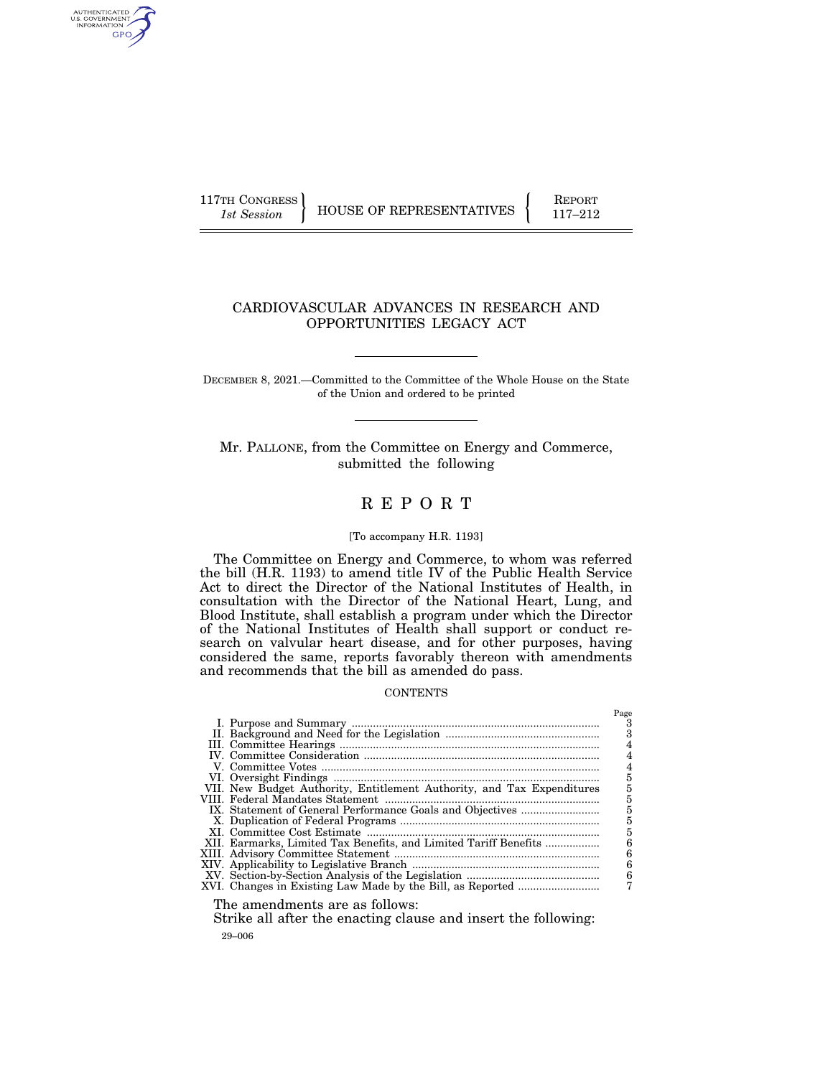AUTHENTICATED<br>U.S. GOVERNMENT<br>INFORMATION GPO

117TH CONGRESS HOUSE OF REPRESENTATIVES FEPORT 117-212

# CARDIOVASCULAR ADVANCES IN RESEARCH AND OPPORTUNITIES LEGACY ACT

DECEMBER 8, 2021.—Committed to the Committee of the Whole House on the State of the Union and ordered to be printed

Mr. PALLONE, from the Committee on Energy and Commerce, submitted the following

# R E P O R T

# [To accompany H.R. 1193]

The Committee on Energy and Commerce, to whom was referred the bill (H.R. 1193) to amend title IV of the Public Health Service Act to direct the Director of the National Institutes of Health, in consultation with the Director of the National Heart, Lung, and Blood Institute, shall establish a program under which the Director of the National Institutes of Health shall support or conduct research on valvular heart disease, and for other purposes, having considered the same, reports favorably thereon with amendments and recommends that the bill as amended do pass.

#### **CONTENTS**

| 5<br>5<br>5<br>XII. Earmarks, Limited Tax Benefits, and Limited Tariff Benefits<br>6<br>6<br>6<br>6 |
|-----------------------------------------------------------------------------------------------------|
| $\mathbf{r}$                                                                                        |

The amendments are as follows:

29–006 Strike all after the enacting clause and insert the following: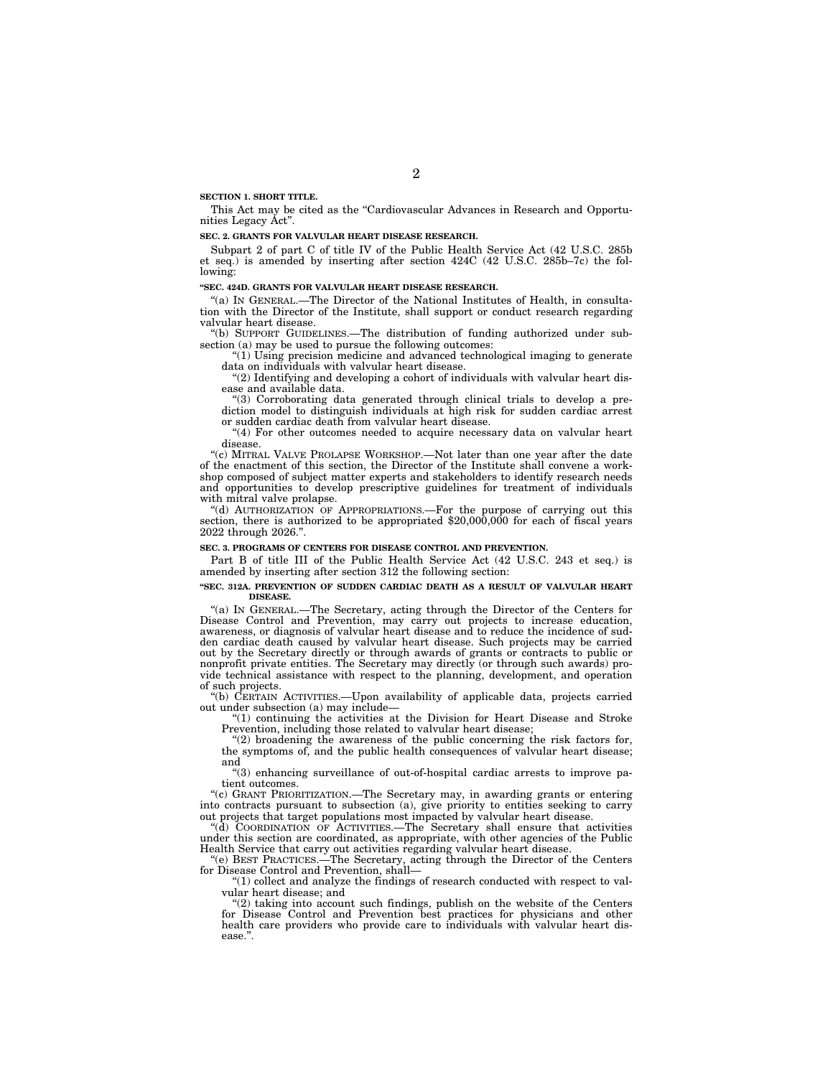**SECTION 1. SHORT TITLE.** 

This Act may be cited as the "Cardiovascular Advances in Research and Opportunities Legacy Act''.

#### **SEC. 2. GRANTS FOR VALVULAR HEART DISEASE RESEARCH.**

Subpart 2 of part C of title IV of the Public Health Service Act (42 U.S.C. 285b et seq.) is amended by inserting after section 424C (42 U.S.C. 285b–7c) the following:

#### **''SEC. 424D. GRANTS FOR VALVULAR HEART DISEASE RESEARCH.**

''(a) IN GENERAL.—The Director of the National Institutes of Health, in consultation with the Director of the Institute, shall support or conduct research regarding valvular heart disease.

''(b) SUPPORT GUIDELINES.—The distribution of funding authorized under subsection (a) may be used to pursue the following outcomes:

''(1) Using precision medicine and advanced technological imaging to generate data on individuals with valvular heart disease.

 $''(2)$  Identifying and developing a cohort of individuals with valvular heart disease and available data.

''(3) Corroborating data generated through clinical trials to develop a prediction model to distinguish individuals at high risk for sudden cardiac arrest or sudden cardiac death from valvular heart disease.

"(4) For other outcomes needed to acquire necessary data on valvular heart disease.

"(c) MITRAL VALVE PROLAPSE WORKSHOP.—Not later than one year after the date of the enactment of this section, the Director of the Institute shall convene a workshop composed of subject matter experts and stakeholders to identify research needs and opportunities to develop prescriptive guidelines for treatment of individuals with mitral valve prolapse.

''(d) AUTHORIZATION OF APPROPRIATIONS.—For the purpose of carrying out this section, there is authorized to be appropriated \$20,000,000 for each of fiscal years 2022 through 2026.''.

#### **SEC. 3. PROGRAMS OF CENTERS FOR DISEASE CONTROL AND PREVENTION.**

Part B of title III of the Public Health Service Act (42 U.S.C. 243 et seq.) is amended by inserting after section 312 the following section:

#### **''SEC. 312A. PREVENTION OF SUDDEN CARDIAC DEATH AS A RESULT OF VALVULAR HEART DISEASE.**

''(a) IN GENERAL.—The Secretary, acting through the Director of the Centers for Disease Control and Prevention, may carry out projects to increase education, awareness, or diagnosis of valvular heart disease and to reduce the incidence of sudden cardiac death caused by valvular heart disease. Such projects may be carried out by the Secretary directly or through awards of grants or contracts to public or nonprofit private entities. The Secretary may directly (or through such awards) provide technical assistance with respect to the planning, development, and operation of such projects.

''(b) CERTAIN ACTIVITIES.—Upon availability of applicable data, projects carried out under subsection (a) may include—

''(1) continuing the activities at the Division for Heart Disease and Stroke Prevention, including those related to valvular heart disease;

''(2) broadening the awareness of the public concerning the risk factors for, the symptoms of, and the public health consequences of valvular heart disease; and

''(3) enhancing surveillance of out-of-hospital cardiac arrests to improve patient outcomes.

''(c) GRANT PRIORITIZATION.—The Secretary may, in awarding grants or entering into contracts pursuant to subsection (a), give priority to entities seeking to carry out projects that target populations most impacted by valvular heart disease.

''(d) COORDINATION OF ACTIVITIES.—The Secretary shall ensure that activities under this section are coordinated, as appropriate, with other agencies of the Public Health Service that carry out activities regarding valvular heart disease.

''(e) BEST PRACTICES.—The Secretary, acting through the Director of the Centers for Disease Control and Prevention, shall—

" $(1)$  collect and analyze the findings of research conducted with respect to valvular heart disease; and

"(2) taking into account such findings, publish on the website of the Centers for Disease Control and Prevention best practices for physicians and other health care providers who provide care to individuals with valvular heart disease.''.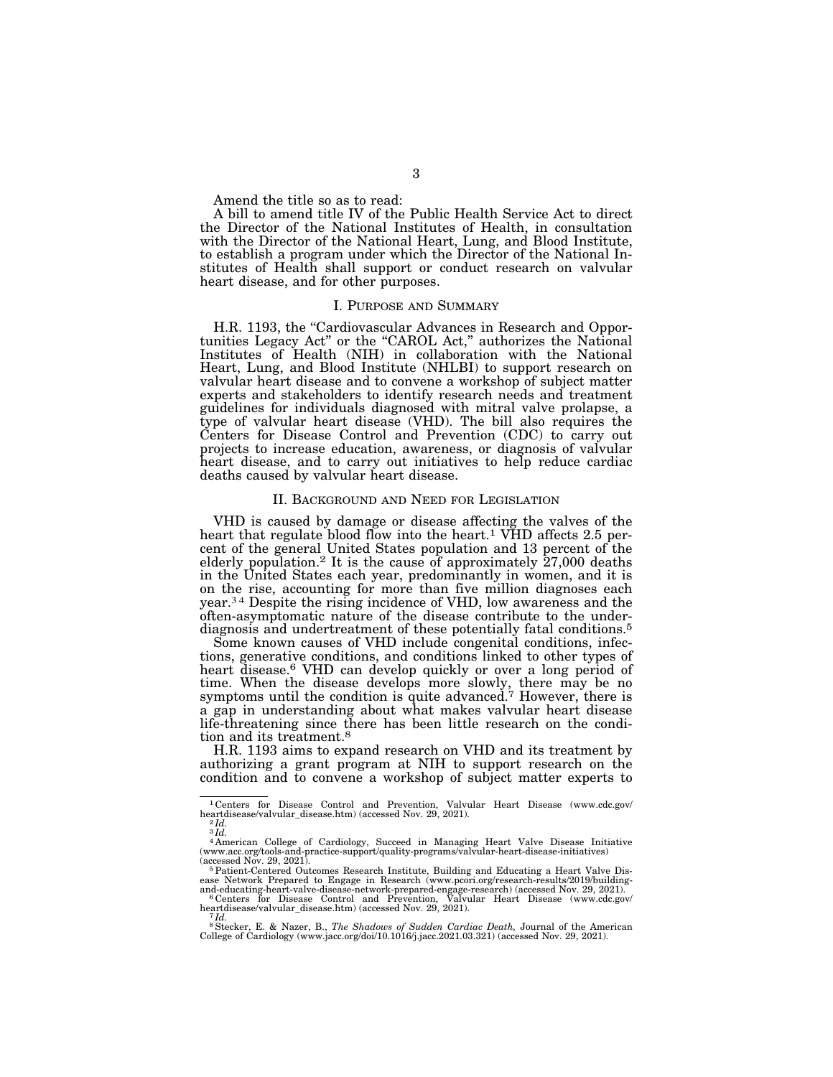Amend the title so as to read:

A bill to amend title IV of the Public Health Service Act to direct the Director of the National Institutes of Health, in consultation with the Director of the National Heart, Lung, and Blood Institute, to establish a program under which the Director of the National Institutes of Health shall support or conduct research on valvular heart disease, and for other purposes.

### I. PURPOSE AND SUMMARY

H.R. 1193, the "Cardiovascular Advances in Research and Opportunities Legacy Act" or the "CAROL Act," authorizes the National Institutes of Health (NIH) in collaboration with the National Heart, Lung, and Blood Institute (NHLBI) to support research on valvular heart disease and to convene a workshop of subject matter experts and stakeholders to identify research needs and treatment guidelines for individuals diagnosed with mitral valve prolapse, a type of valvular heart disease (VHD). The bill also requires the Centers for Disease Control and Prevention (CDC) to carry out projects to increase education, awareness, or diagnosis of valvular heart disease, and to carry out initiatives to help reduce cardiac deaths caused by valvular heart disease.

# II. BACKGROUND AND NEED FOR LEGISLATION

VHD is caused by damage or disease affecting the valves of the heart that regulate blood flow into the heart.<sup>1</sup> VHD affects 2.5 percent of the general United States population and 13 percent of the elderly population.2 It is the cause of approximately 27,000 deaths in the United States each year, predominantly in women, and it is on the rise, accounting for more than five million diagnoses each year.3 4 Despite the rising incidence of VHD, low awareness and the often-asymptomatic nature of the disease contribute to the underdiagnosis and undertreatment of these potentially fatal conditions.<sup>5</sup>

Some known causes of VHD include congenital conditions, infections, generative conditions, and conditions linked to other types of heart disease.<sup>6</sup> VHD can develop quickly or over a long period of time. When the disease develops more slowly, there may be no symptoms until the condition is quite advanced.<sup>7</sup> However, there is a gap in understanding about what makes valvular heart disease life-threatening since there has been little research on the condition and its treatment.8

H.R. 1193 aims to expand research on VHD and its treatment by authorizing a grant program at NIH to support research on the condition and to convene a workshop of subject matter experts to

<sup>1</sup> Centers for Disease Control and Prevention, Valvular Heart Disease (www.cdc.gov/ heartdisease/valvular\_disease.htm) (accessed Nov. 29, 2021). 2 *Id.* 

 $3\overline{Id}$ .

<sup>4</sup> American College of Cardiology, Succeed in Managing Heart Valve Disease Initiative (www.acc.org/tools-and-practice-support/quality-programs/valvular-heart-disease-initiatives)

<sup>(</sup>accessed Nov. 29, 2021).<br><sup>5</sup> Patient-Centered Outcomes Research Institute, Building and Educating a Heart Valve Disease Network Prepared to Engage in Research (www.pcori.org/research-results/2019/building-<br>and-educating-h

heartdisease/valvular\_disease.htm) (accessed Nov. 29, 2021). 7 *Id.* 

<sup>8</sup>Stecker, E. & Nazer, B., *The Shadows of Sudden Cardiac Death,* Journal of the American College of Cardiology (www.jacc.org/doi/10.1016/j.jacc.2021.03.321) (accessed Nov. 29, 2021).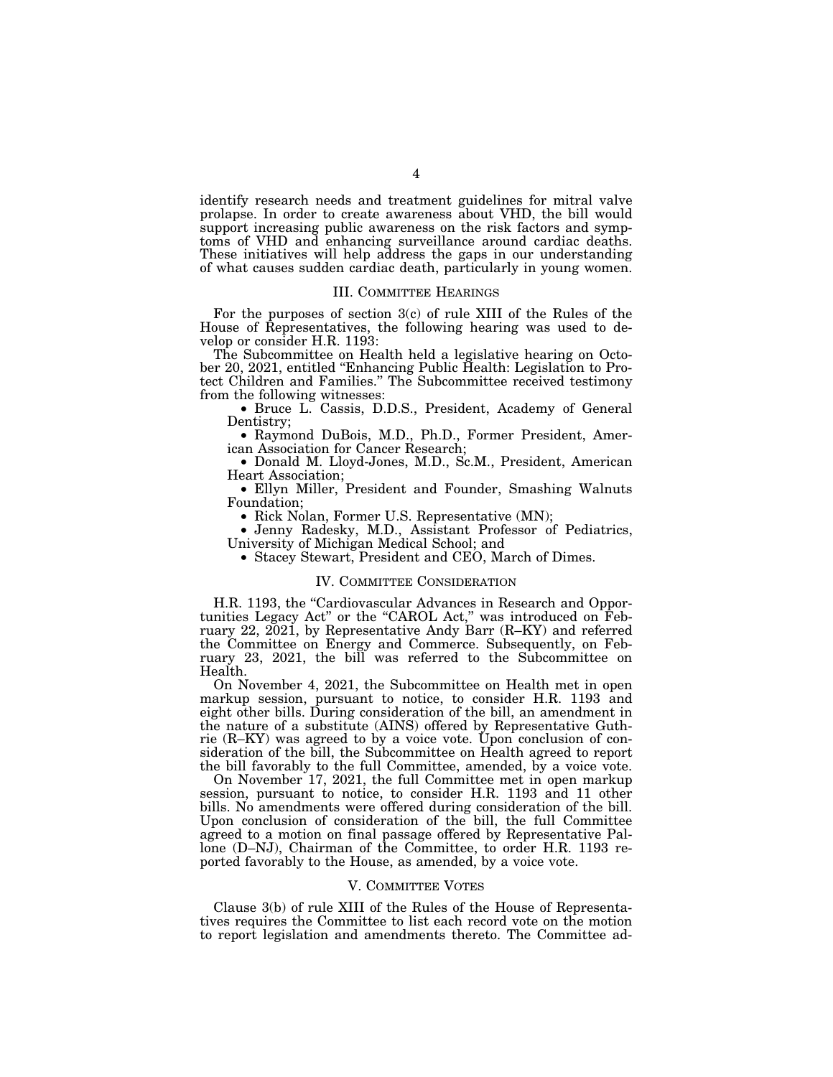identify research needs and treatment guidelines for mitral valve prolapse. In order to create awareness about VHD, the bill would support increasing public awareness on the risk factors and symptoms of VHD and enhancing surveillance around cardiac deaths. These initiatives will help address the gaps in our understanding of what causes sudden cardiac death, particularly in young women.

### III. COMMITTEE HEARINGS

For the purposes of section  $3(c)$  of rule XIII of the Rules of the House of Representatives, the following hearing was used to develop or consider H.R. 1193:

The Subcommittee on Health held a legislative hearing on October 20, 2021, entitled ''Enhancing Public Health: Legislation to Protect Children and Families.'' The Subcommittee received testimony from the following witnesses:

• Bruce L. Cassis, D.D.S., President, Academy of General Dentistry;

• Raymond DuBois, M.D., Ph.D., Former President, American Association for Cancer Research;

• Donald M. Lloyd-Jones, M.D., Sc.M., President, American Heart Association;

• Ellyn Miller, President and Founder, Smashing Walnuts Foundation;

• Rick Nolan, Former U.S. Representative (MN);

• Jenny Radesky, M.D., Assistant Professor of Pediatrics, University of Michigan Medical School; and

• Stacey Stewart, President and CEO, March of Dimes.

#### IV. COMMITTEE CONSIDERATION

H.R. 1193, the "Cardiovascular Advances in Research and Opportunities Legacy Act'' or the ''CAROL Act,'' was introduced on February 22,  $202\text{I}$ , by Representative Andy Barr (R–KY) and referred the Committee on Energy and Commerce. Subsequently, on February 23, 2021, the bill was referred to the Subcommittee on Health.

On November 4, 2021, the Subcommittee on Health met in open markup session, pursuant to notice, to consider H.R. 1193 and eight other bills. During consideration of the bill, an amendment in the nature of a substitute (AINS) offered by Representative Guthrie  $(R-KY)$  was agreed to by a voice vote. Upon conclusion of consideration of the bill, the Subcommittee on Health agreed to report the bill favorably to the full Committee, amended, by a voice vote.

On November 17, 2021, the full Committee met in open markup session, pursuant to notice, to consider H.R. 1193 and 11 other bills. No amendments were offered during consideration of the bill. Upon conclusion of consideration of the bill, the full Committee agreed to a motion on final passage offered by Representative Pallone (D–NJ), Chairman of the Committee, to order H.R. 1193 reported favorably to the House, as amended, by a voice vote.

### V. COMMITTEE VOTES

Clause 3(b) of rule XIII of the Rules of the House of Representatives requires the Committee to list each record vote on the motion to report legislation and amendments thereto. The Committee ad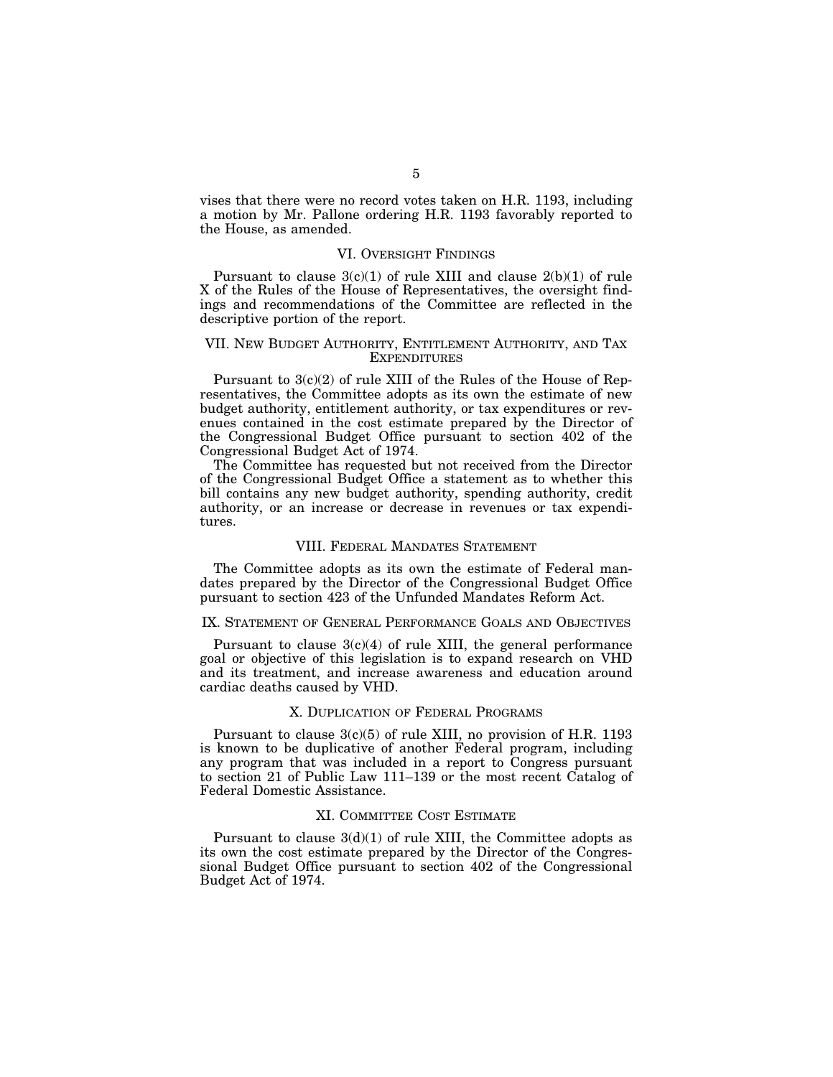vises that there were no record votes taken on H.R. 1193, including a motion by Mr. Pallone ordering H.R. 1193 favorably reported to the House, as amended.

# VI. OVERSIGHT FINDINGS

Pursuant to clause  $3(c)(1)$  of rule XIII and clause  $2(b)(1)$  of rule X of the Rules of the House of Representatives, the oversight findings and recommendations of the Committee are reflected in the descriptive portion of the report.

# VII. NEW BUDGET AUTHORITY, ENTITLEMENT AUTHORITY, AND TAX **EXPENDITURES**

Pursuant to 3(c)(2) of rule XIII of the Rules of the House of Representatives, the Committee adopts as its own the estimate of new budget authority, entitlement authority, or tax expenditures or revenues contained in the cost estimate prepared by the Director of the Congressional Budget Office pursuant to section 402 of the Congressional Budget Act of 1974.

The Committee has requested but not received from the Director of the Congressional Budget Office a statement as to whether this bill contains any new budget authority, spending authority, credit authority, or an increase or decrease in revenues or tax expenditures.

# VIII. FEDERAL MANDATES STATEMENT

The Committee adopts as its own the estimate of Federal mandates prepared by the Director of the Congressional Budget Office pursuant to section 423 of the Unfunded Mandates Reform Act.

# IX. STATEMENT OF GENERAL PERFORMANCE GOALS AND OBJECTIVES

Pursuant to clause  $3(c)(4)$  of rule XIII, the general performance goal or objective of this legislation is to expand research on VHD and its treatment, and increase awareness and education around cardiac deaths caused by VHD.

# X. DUPLICATION OF FEDERAL PROGRAMS

Pursuant to clause  $3(c)(5)$  of rule XIII, no provision of H.R. 1193 is known to be duplicative of another Federal program, including any program that was included in a report to Congress pursuant to section 21 of Public Law 111–139 or the most recent Catalog of Federal Domestic Assistance.

# XI. COMMITTEE COST ESTIMATE

Pursuant to clause  $3(d)(1)$  of rule XIII, the Committee adopts as its own the cost estimate prepared by the Director of the Congressional Budget Office pursuant to section 402 of the Congressional Budget Act of 1974.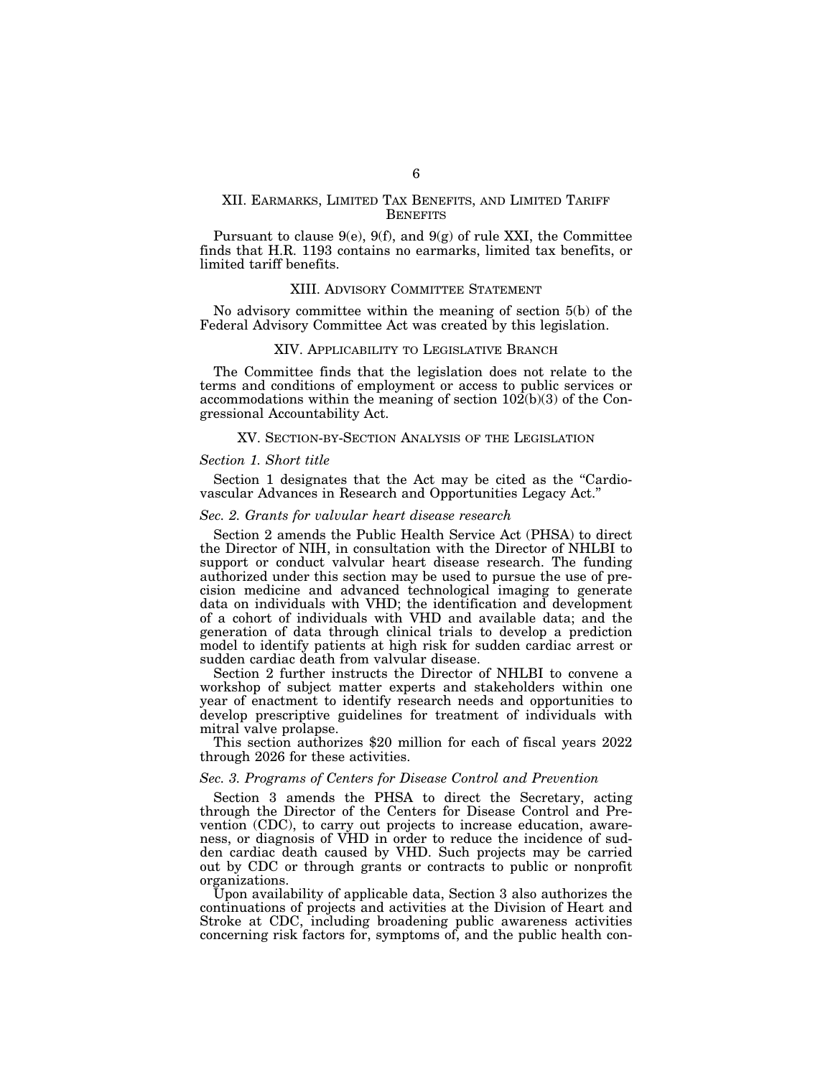# XII. EARMARKS, LIMITED TAX BENEFITS, AND LIMITED TARIFF **BENEFITS**

Pursuant to clause 9(e), 9(f), and 9(g) of rule XXI, the Committee finds that H.R. 1193 contains no earmarks, limited tax benefits, or limited tariff benefits.

# XIII. ADVISORY COMMITTEE STATEMENT

No advisory committee within the meaning of section 5(b) of the Federal Advisory Committee Act was created by this legislation.

### XIV. APPLICABILITY TO LEGISLATIVE BRANCH

The Committee finds that the legislation does not relate to the terms and conditions of employment or access to public services or accommodations within the meaning of section  $10\overline{2}(b)(3)$  of the Congressional Accountability Act.

# XV. SECTION-BY-SECTION ANALYSIS OF THE LEGISLATION

#### *Section 1. Short title*

Section 1 designates that the Act may be cited as the "Cardiovascular Advances in Research and Opportunities Legacy Act.''

# *Sec. 2. Grants for valvular heart disease research*

Section 2 amends the Public Health Service Act (PHSA) to direct the Director of NIH, in consultation with the Director of NHLBI to support or conduct valvular heart disease research. The funding authorized under this section may be used to pursue the use of precision medicine and advanced technological imaging to generate data on individuals with VHD; the identification and development of a cohort of individuals with VHD and available data; and the generation of data through clinical trials to develop a prediction model to identify patients at high risk for sudden cardiac arrest or sudden cardiac death from valvular disease.

Section 2 further instructs the Director of NHLBI to convene a workshop of subject matter experts and stakeholders within one year of enactment to identify research needs and opportunities to develop prescriptive guidelines for treatment of individuals with mitral valve prolapse.

This section authorizes \$20 million for each of fiscal years 2022 through 2026 for these activities.

# *Sec. 3. Programs of Centers for Disease Control and Prevention*

Section 3 amends the PHSA to direct the Secretary, acting through the Director of the Centers for Disease Control and Prevention (CDC), to carry out projects to increase education, awareness, or diagnosis of VHD in order to reduce the incidence of sudden cardiac death caused by VHD. Such projects may be carried out by CDC or through grants or contracts to public or nonprofit organizations.

Upon availability of applicable data, Section 3 also authorizes the continuations of projects and activities at the Division of Heart and Stroke at CDC, including broadening public awareness activities concerning risk factors for, symptoms of, and the public health con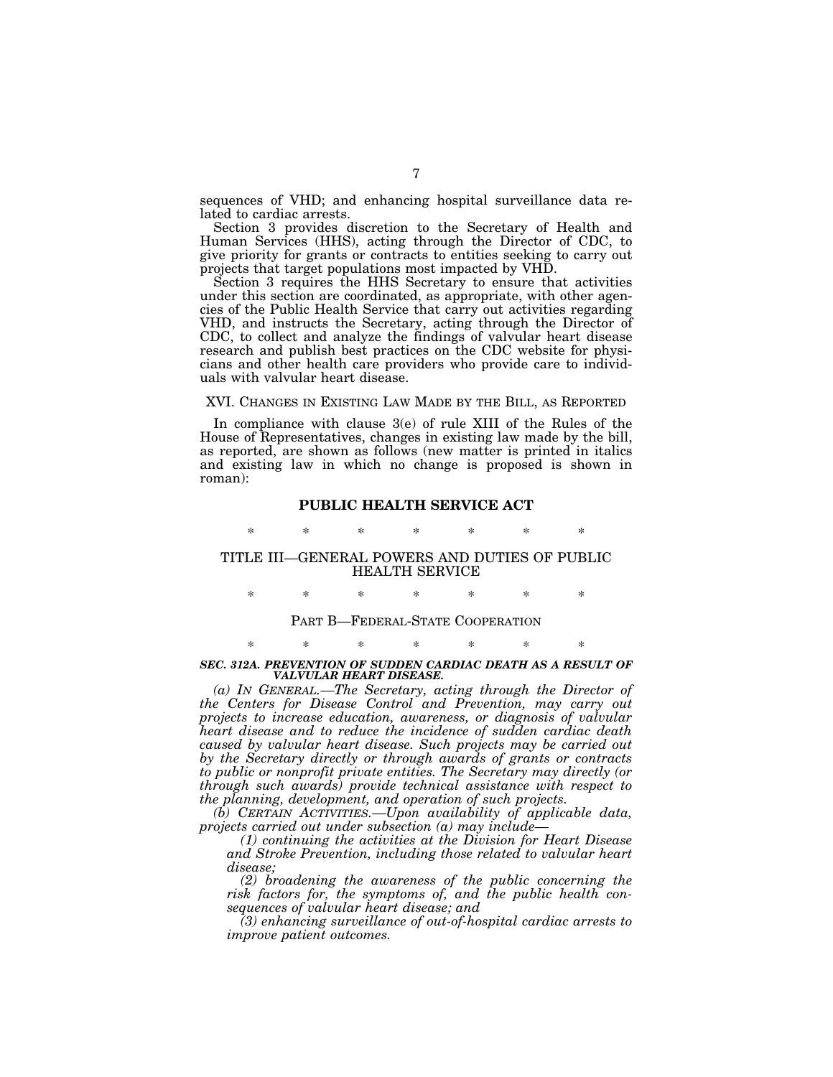sequences of VHD; and enhancing hospital surveillance data related to cardiac arrests.

Section 3 provides discretion to the Secretary of Health and Human Services (HHS), acting through the Director of CDC, to give priority for grants or contracts to entities seeking to carry out projects that target populations most impacted by VHD.

Section 3 requires the HHS Secretary to ensure that activities under this section are coordinated, as appropriate, with other agencies of the Public Health Service that carry out activities regarding VHD, and instructs the Secretary, acting through the Director of CDC, to collect and analyze the findings of valvular heart disease research and publish best practices on the CDC website for physicians and other health care providers who provide care to individuals with valvular heart disease.

# XVI. CHANGES IN EXISTING LAW MADE BY THE BILL, AS REPORTED

In compliance with clause 3(e) of rule XIII of the Rules of the House of Representatives, changes in existing law made by the bill, as reported, are shown as follows (new matter is printed in italics and existing law in which no change is proposed is shown in roman):

# **PUBLIC HEALTH SERVICE ACT**

\* \* \* \* \* \* \*

# TITLE III—GENERAL POWERS AND DUTIES OF PUBLIC HEALTH SERVICE

\* \* \* \* \* \* \*

# PART B—FEDERAL-STATE COOPERATION

# \* \* \* \* \* \* \* **SEC. 312A. PREVENTION OF SUDDEN CARDIAC DEATH AS A RESULT OF** *VALVULAR HEART DISEASE.*

*(a) IN GENERAL.—The Secretary, acting through the Director of the Centers for Disease Control and Prevention, may carry out projects to increase education, awareness, or diagnosis of valvular heart disease and to reduce the incidence of sudden cardiac death caused by valvular heart disease. Such projects may be carried out by the Secretary directly or through awards of grants or contracts to public or nonprofit private entities. The Secretary may directly (or through such awards) provide technical assistance with respect to the planning, development, and operation of such projects.* 

*(b) CERTAIN ACTIVITIES.—Upon availability of applicable data, projects carried out under subsection (a) may include—* 

*(1) continuing the activities at the Division for Heart Disease and Stroke Prevention, including those related to valvular heart disease;* 

*(2) broadening the awareness of the public concerning the risk factors for, the symptoms of, and the public health consequences of valvular heart disease; and* 

*(3) enhancing surveillance of out-of-hospital cardiac arrests to improve patient outcomes.*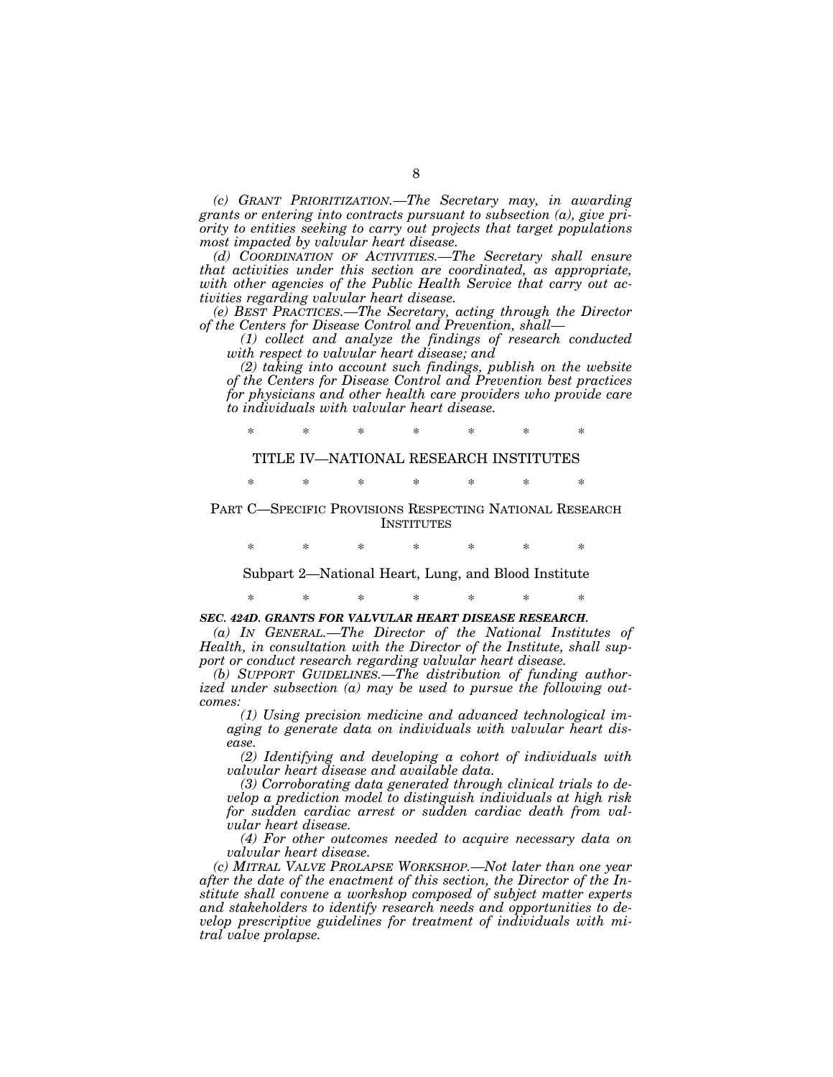*(c) GRANT PRIORITIZATION.—The Secretary may, in awarding grants or entering into contracts pursuant to subsection (a), give priority to entities seeking to carry out projects that target populations most impacted by valvular heart disease.* 

*(d) COORDINATION OF ACTIVITIES.—The Secretary shall ensure that activities under this section are coordinated, as appropriate, with other agencies of the Public Health Service that carry out activities regarding valvular heart disease.* 

*(e) BEST PRACTICES.—The Secretary, acting through the Director of the Centers for Disease Control and Prevention, shall—* 

*(1) collect and analyze the findings of research conducted with respect to valvular heart disease; and* 

*(2) taking into account such findings, publish on the website of the Centers for Disease Control and Prevention best practices for physicians and other health care providers who provide care to individuals with valvular heart disease.* 

\* \* \* \* \* \* \* TITLE IV—NATIONAL RESEARCH INSTITUTES

\* \* \* \* \* \* \*

PART C—SPECIFIC PROVISIONS RESPECTING NATIONAL RESEARCH **INSTITUTES** 

\* \* \* \* \* \* \*

Subpart 2—National Heart, Lung, and Blood Institute

\* \* \* \* \* \* \*

# *SEC. 424D. GRANTS FOR VALVULAR HEART DISEASE RESEARCH.*

*(a) IN GENERAL.—The Director of the National Institutes of Health, in consultation with the Director of the Institute, shall support or conduct research regarding valvular heart disease.* 

*(b) SUPPORT GUIDELINES.—The distribution of funding authorized under subsection (a) may be used to pursue the following outcomes:* 

*(1) Using precision medicine and advanced technological imaging to generate data on individuals with valvular heart disease.* 

*(2) Identifying and developing a cohort of individuals with valvular heart disease and available data.* 

*(3) Corroborating data generated through clinical trials to develop a prediction model to distinguish individuals at high risk for sudden cardiac arrest or sudden cardiac death from valvular heart disease.* 

*(4) For other outcomes needed to acquire necessary data on valvular heart disease.* 

*(c) MITRAL VALVE PROLAPSE WORKSHOP.—Not later than one year after the date of the enactment of this section, the Director of the Institute shall convene a workshop composed of subject matter experts and stakeholders to identify research needs and opportunities to develop prescriptive guidelines for treatment of individuals with mitral valve prolapse.*